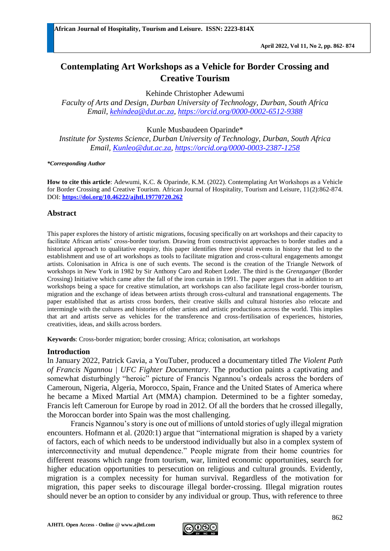# **Contemplating Art Workshops as a Vehicle for Border Crossing and Creative Tourism**

Kehinde Christopher Adewumi

*Faculty of Arts and Design, Durban University of Technology, Durban, South Africa Email, [kehindea@dut.ac.za,](mailto:kehindea@dut.ac.za) <https://orcid.org/0000-0002-6512-9388>*

Kunle Musbaudeen Oparinde\*

*Institute for Systems Science, Durban University of Technology, Durban, South Africa Email, [Kunleo@dut.ac.za,](mailto:Kunleo@dut.ac.za)<https://orcid.org/0000-0003-2387-1258>*

#### *\*Corresponding Author*

**How to cite this article**: Adewumi, K.C. & Oparinde, K.M. (2022). Contemplating Art Workshops as a Vehicle for Border Crossing and Creative Tourism. African Journal of Hospitality, Tourism and Leisure, 11(2):862-874. DOI: **<https://doi.org/10.46222/ajhtl.19770720.262>**

## **Abstract**

This paper explores the history of artistic migrations, focusing specifically on art workshops and their capacity to facilitate African artists' cross-border tourism. Drawing from constructivist approaches to border studies and a historical approach to qualitative enquiry, this paper identifies three pivotal events in history that led to the establishment and use of art workshops as tools to facilitate migration and cross-cultural engagements amongst artists. Colonisation in Africa is one of such events. The second is the creation of the Triangle Network of workshops in New York in 1982 by Sir Anthony Caro and Robert Loder. The third is the *Grenzganger* (Border Crossing) Initiative which came after the fall of the iron curtain in 1991. The paper argues that in addition to art workshops being a space for creative stimulation, art workshops can also facilitate legal cross-border tourism, migration and the exchange of ideas between artists through cross-cultural and transnational engagements. The paper established that as artists cross borders, their creative skills and cultural histories also relocate and intermingle with the cultures and histories of other artists and artistic productions across the world. This implies that art and artists serve as vehicles for the transference and cross-fertilisation of experiences, histories, creativities, ideas, and skills across borders.

**Keywords**: Cross-border migration; border crossing; Africa; colonisation, art workshops

## **Introduction**

In January 2022, Patrick Gavia, a YouTuber, produced a documentary titled *The Violent Path of Francis Ngannou | UFC Fighter Documentary*. The production paints a captivating and somewhat disturbingly "heroic" picture of Francis Ngannou's ordeals across the borders of Cameroun, Nigeria, Algeria, Morocco, Spain, France and the United States of America where he became a Mixed Martial Art (MMA) champion. Determined to be a fighter someday, Francis left Cameroun for Europe by road in 2012. Of all the borders that he crossed illegally, the Moroccan border into Spain was the most challenging.

Francis Ngannou's story is one out of millions of untold stories of ugly illegal migration encounters. Hofmann et al. (2020:1) argue that "international migration is shaped by a variety of factors, each of which needs to be understood individually but also in a complex system of interconnectivity and mutual dependence." People migrate from their home countries for different reasons which range from tourism, war, limited economic opportunities, search for higher education opportunities to persecution on religious and cultural grounds. Evidently, migration is a complex necessity for human survival. Regardless of the motivation for migration, this paper seeks to discourage illegal border-crossing. Illegal migration routes should never be an option to consider by any individual or group. Thus, with reference to three

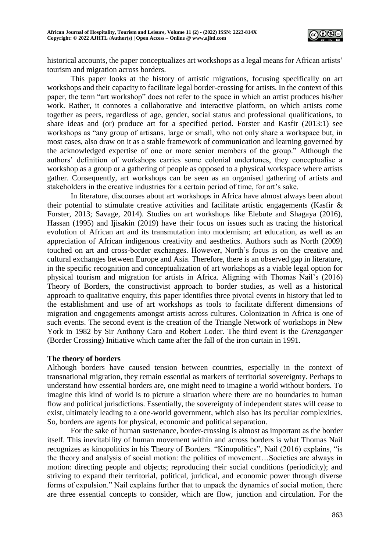

historical accounts, the paper conceptualizes art workshops as a legal means for African artists' tourism and migration across borders.

This paper looks at the history of artistic migrations, focusing specifically on art workshops and their capacity to facilitate legal border-crossing for artists. In the context of this paper, the term "art workshop" does not refer to the space in which an artist produces his/her work. Rather, it connotes a collaborative and interactive platform, on which artists come together as peers, regardless of age, gender, social status and professional qualifications, to share ideas and (or) produce art for a specified period. Forster and Kasfir (2013:1) see workshops as "any group of artisans, large or small, who not only share a workspace but, in most cases, also draw on it as a stable framework of communication and learning governed by the acknowledged expertise of one or more senior members of the group." Although the authors' definition of workshops carries some colonial undertones, they conceptualise a workshop as a group or a gathering of people as opposed to a physical workspace where artists gather. Consequently, art workshops can be seen as an organised gathering of artists and stakeholders in the creative industries for a certain period of time, for art's sake.

In literature, discourses about art workshops in Africa have almost always been about their potential to stimulate creative activities and facilitate artistic engagements (Kasfir & Forster, 2013; Savage, 2014). Studies on art workshops like Elebute and Shagaya (2016), Hassan (1995) and Ijisakin (2019) have their focus on issues such as tracing the historical evolution of African art and its transmutation into modernism; art education, as well as an appreciation of African indigenous creativity and aesthetics. Authors such as North (2009) touched on art and cross-border exchanges. However, North's focus is on the creative and cultural exchanges between Europe and Asia. Therefore, there is an observed gap in literature, in the specific recognition and conceptualization of art workshops as a viable legal option for physical tourism and migration for artists in Africa. Aligning with Thomas Nail's (2016) Theory of Borders*,* the constructivist approach to border studies, as well as a historical approach to qualitative enquiry, this paper identifies three pivotal events in history that led to the establishment and use of art workshops as tools to facilitate different dimensions of migration and engagements amongst artists across cultures. Colonization in Africa is one of such events. The second event is the creation of the Triangle Network of workshops in New York in 1982 by Sir Anthony Caro and Robert Loder. The third event is the *Grenzganger* (Border Crossing) Initiative which came after the fall of the iron curtain in 1991.

## **The theory of borders**

Although borders have caused tension between countries, especially in the context of transnational migration, they remain essential as markers of territorial sovereignty. Perhaps to understand how essential borders are, one might need to imagine a world without borders. To imagine this kind of world is to picture a situation where there are no boundaries to human flow and political jurisdictions. Essentially, the sovereignty of independent states will cease to exist, ultimately leading to a one-world government, which also has its peculiar complexities. So, borders are agents for physical, economic and political separation.

For the sake of human sustenance, border-crossing is almost as important as the border itself. This inevitability of human movement within and across borders is what Thomas Nail recognizes as kinopolitics in his Theory of Borders. "Kinopolitics", Nail (2016) explains, "is the theory and analysis of social motion: the politics of movement…Societies are always in motion: directing people and objects; reproducing their social conditions (periodicity); and striving to expand their territorial, political, juridical, and economic power through diverse forms of expulsion." Nail explains further that to unpack the dynamics of social motion, there are three essential concepts to consider, which are flow, junction and circulation. For the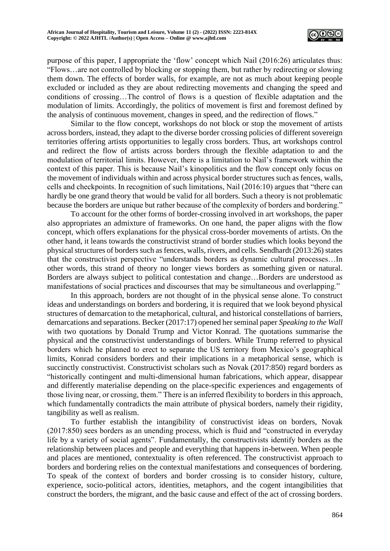

purpose of this paper, I appropriate the 'flow' concept which Nail (2016:26) articulates thus: "Flows…are not controlled by blocking or stopping them, but rather by redirecting or slowing them down. The effects of border walls, for example, are not as much about keeping people excluded or included as they are about redirecting movements and changing the speed and conditions of crossing…The control of flows is a question of flexible adaptation and the modulation of limits. Accordingly, the politics of movement is first and foremost defined by the analysis of continuous movement, changes in speed, and the redirection of flows."

Similar to the flow concept, workshops do not block or stop the movement of artists across borders, instead, they adapt to the diverse border crossing policies of different sovereign territories offering artists opportunities to legally cross borders. Thus, art workshops control and redirect the flow of artists across borders through the flexible adaptation to and the modulation of territorial limits. However, there is a limitation to Nail's framework within the context of this paper. This is because Nail's kinopolitics and the flow concept only focus on the movement of individuals within and across physical border structures such as fences, walls, cells and checkpoints. In recognition of such limitations, Nail (2016:10) argues that "there can hardly be one grand theory that would be valid for all borders. Such a theory is not problematic because the borders are unique but rather because of the complexity of borders and bordering."

To account for the other forms of border-crossing involved in art workshops, the paper also appropriates an admixture of frameworks. On one hand, the paper aligns with the flow concept, which offers explanations for the physical cross-border movements of artists. On the other hand, it leans towards the constructivist strand of border studies which looks beyond the physical structures of borders such as fences, walls, rivers, and cells. Sendhardt (2013:26) states that the constructivist perspective "understands borders as dynamic cultural processes…In other words, this strand of theory no longer views borders as something given or natural. Borders are always subject to political contestation and change…Borders are understood as manifestations of social practices and discourses that may be simultaneous and overlapping."

In this approach, borders are not thought of in the physical sense alone. To construct ideas and understandings on borders and bordering, it is required that we look beyond physical structures of demarcation to the metaphorical, cultural, and historical constellations of barriers, demarcations and separations. Becker (2017:17) opened her seminal paper *Speaking to the Wall* with two quotations by Donald Trump and Victor Konrad. The quotations summarise the physical and the constructivist understandings of borders. While Trump referred to physical borders which he planned to erect to separate the US territory from Mexico's geographical limits, Konrad considers borders and their implications in a metaphorical sense, which is succinctly constructivist. Constructivist scholars such as Novak (2017:850) regard borders as "historically contingent and multi-dimensional human fabrications, which appear, disappear and differently materialise depending on the place-specific experiences and engagements of those living near, or crossing, them." There is an inferred flexibility to borders in this approach, which fundamentally contradicts the main attribute of physical borders, namely their rigidity, tangibility as well as realism.

To further establish the intangibility of constructivist ideas on borders, Novak (2017:850) sees borders as an unending process, which is fluid and "constructed in everyday life by a variety of social agents". Fundamentally, the constructivists identify borders as the relationship between places and people and everything that happens in-between. When people and places are mentioned, contextuality is often referenced. The constructivist approach to borders and bordering relies on the contextual manifestations and consequences of bordering. To speak of the context of borders and border crossing is to consider history, culture, experience, socio-political actors, identities, metaphors, and the cogent intangibilities that construct the borders, the migrant, and the basic cause and effect of the act of crossing borders.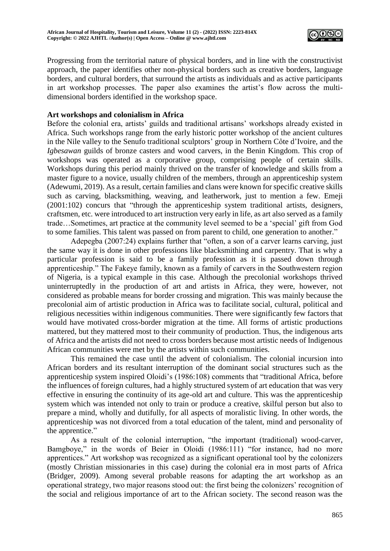

Progressing from the territorial nature of physical borders, and in line with the constructivist approach, the paper identifies other non-physical borders such as creative borders, language borders, and cultural borders, that surround the artists as individuals and as active participants in art workshop processes. The paper also examines the artist's flow across the multidimensional borders identified in the workshop space.

## **Art workshops and colonialism in Africa**

Before the colonial era, artists' guilds and traditional artisans' workshops already existed in Africa. Such workshops range from the early historic potter workshop of the ancient cultures in the Nile valley to the Senufo traditional sculptors' group in Northern Côte d'Ivoire, and the *Igbesawan* guilds of bronze casters and wood carvers, in the Benin Kingdom. This crop of workshops was operated as a corporative group, comprising people of certain skills. Workshops during this period mainly thrived on the transfer of knowledge and skills from a master figure to a novice, usually children of the members, through an apprenticeship system (Adewumi, 2019). As a result, certain families and clans were known for specific creative skills such as carving, blacksmithing, weaving, and leatherwork, just to mention a few. Emeji (2001:102) concurs that "through the apprenticeship system traditional artists, designers, craftsmen, etc. were introduced to art instruction very early in life, as art also served as a family trade…Sometimes, art practice at the community level seemed to be a 'special' gift from God to some families. This talent was passed on from parent to child, one generation to another."

Adepegba (2007:24) explains further that "often, a son of a carver learns carving, just the same way it is done in other professions like blacksmithing and carpentry. That is why a particular profession is said to be a family profession as it is passed down through apprenticeship." The Fakeye family, known as a family of carvers in the Southwestern region of Nigeria, is a typical example in this case. Although the precolonial workshops thrived uninterruptedly in the production of art and artists in Africa, they were, however, not considered as probable means for border crossing and migration. This was mainly because the precolonial aim of artistic production in Africa was to facilitate social, cultural, political and religious necessities within indigenous communities. There were significantly few factors that would have motivated cross-border migration at the time. All forms of artistic productions mattered, but they mattered most to their community of production. Thus, the indigenous arts of Africa and the artists did not need to cross borders because most artistic needs of Indigenous African communities were met by the artists within such communities.

This remained the case until the advent of colonialism. The colonial incursion into African borders and its resultant interruption of the dominant social structures such as the apprenticeship system inspired Oloidi's (1986:108) comments that "traditional Africa, before the influences of foreign cultures, had a highly structured system of art education that was very effective in ensuring the continuity of its age-old art and culture. This was the apprenticeship system which was intended not only to train or produce a creative, skilful person but also to prepare a mind, wholly and dutifully, for all aspects of moralistic living. In other words, the apprenticeship was not divorced from a total education of the talent, mind and personality of the apprentice."

As a result of the colonial interruption, "the important (traditional) wood-carver, Bamgboye," in the words of Beier in Oloidi (1986:111) "for instance, had no more apprentices." Art workshop was recognized as a significant operational tool by the colonizers (mostly Christian missionaries in this case) during the colonial era in most parts of Africa (Bridger, 2009). Among several probable reasons for adapting the art workshop as an operational strategy, two major reasons stood out: the first being the colonizers' recognition of the social and religious importance of art to the African society. The second reason was the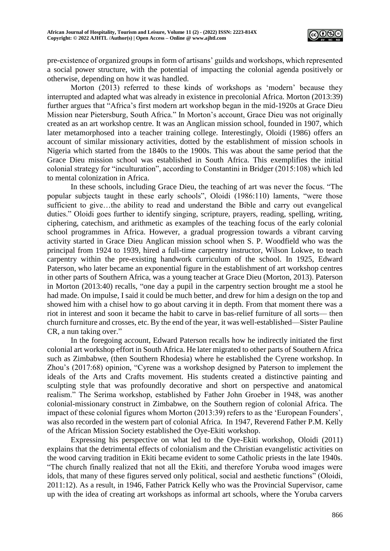

pre-existence of organized groups in form of artisans' guilds and workshops, which represented a social power structure, with the potential of impacting the colonial agenda positively or otherwise, depending on how it was handled.

Morton (2013) referred to these kinds of workshops as 'modern' because they interrupted and adapted what was already in existence in precolonial Africa. Morton (2013:39) further argues that "Africa's first modern art workshop began in the mid-1920s at Grace Dieu Mission near Pietersburg, South Africa." In Morton's account, Grace Dieu was not originally created as an art workshop centre. It was an Anglican mission school, founded in 1907, which later metamorphosed into a teacher training college. Interestingly, Oloidi (1986) offers an account of similar missionary activities, dotted by the establishment of mission schools in Nigeria which started from the 1840s to the 1900s. This was about the same period that the Grace Dieu mission school was established in South Africa. This exemplifies the initial colonial strategy for "inculturation", according to Constantini in Bridger (2015:108) which led to mental colonization in Africa.

In these schools, including Grace Dieu, the teaching of art was never the focus. "The popular subjects taught in these early schools", Oloidi (1986:110) laments, "were those sufficient to give…the ability to read and understand the Bible and carry out evangelical duties." Oloidi goes further to identify singing, scripture, prayers, reading, spelling, writing, ciphering, catechism, and arithmetic as examples of the teaching focus of the early colonial school programmes in Africa. However, a gradual progression towards a vibrant carving activity started in Grace Dieu Anglican mission school when S. P. Woodfield who was the principal from 1924 to 1939, hired a full-time carpentry instructor, Wilson Lokwe, to teach carpentry within the pre-existing handwork curriculum of the school. In 1925, Edward Paterson, who later became an exponential figure in the establishment of art workshop centres in other parts of Southern Africa, was a young teacher at Grace Dieu (Morton, 2013). Paterson in Morton (2013:40) recalls, "one day a pupil in the carpentry section brought me a stool he had made. On impulse, I said it could be much better, and drew for him a design on the top and showed him with a chisel how to go about carving it in depth. From that moment there was a riot in interest and soon it became the habit to carve in bas-relief furniture of all sorts— then church furniture and crosses, etc. By the end of the year, it was well-established—Sister Pauline CR, a nun taking over."

In the foregoing account, Edward Paterson recalls how he indirectly initiated the first colonial art workshop effort in South Africa. He later migrated to other parts of Southern Africa such as Zimbabwe, (then Southern Rhodesia) where he established the Cyrene workshop. In Zhou's (2017:68) opinion, "Cyrene was a workshop designed by Paterson to implement the ideals of the Arts and Crafts movement. His students created a distinctive painting and sculpting style that was profoundly decorative and short on perspective and anatomical realism." The Serima workshop, established by Father John Groeber in 1948, was another colonial-missionary construct in Zimbabwe, on the Southern region of colonial Africa. The impact of these colonial figures whom Morton (2013:39) refers to as the 'European Founders', was also recorded in the western part of colonial Africa. In 1947, Reverend Father P.M. Kelly of the African Mission Society established the Oye-Ekiti workshop.

Expressing his perspective on what led to the Oye-Ekiti workshop, Oloidi (2011) explains that the detrimental effects of colonialism and the Christian evangelistic activities on the wood carving tradition in Ekiti became evident to some Catholic priests in the late 1940s. "The church finally realized that not all the Ekiti, and therefore Yoruba wood images were idols, that many of these figures served only political, social and aesthetic functions" (Oloidi, 2011:12). As a result, in 1946, Father Patrick Kelly who was the Provincial Supervisor, came up with the idea of creating art workshops as informal art schools, where the Yoruba carvers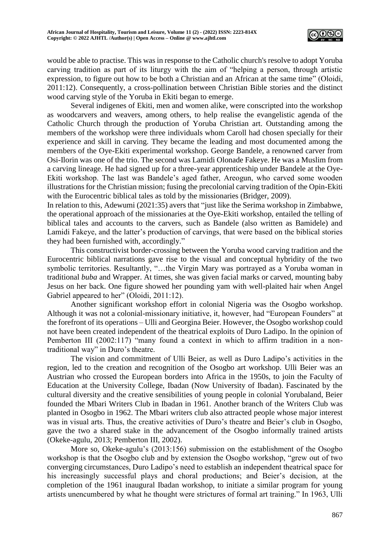

would be able to practise. This was in response to the Catholic church's resolve to adopt Yoruba carving tradition as part of its liturgy with the aim of "helping a person, through artistic expression, to figure out how to be both a Christian and an African at the same time" (Oloidi, 2011:12). Consequently, a cross-pollination between Christian Bible stories and the distinct wood carving style of the Yoruba in Ekiti began to emerge.

Several indigenes of Ekiti, men and women alike, were conscripted into the workshop as woodcarvers and weavers, among others, to help realise the evangelistic agenda of the Catholic Church through the production of Yoruba Christian art. Outstanding among the members of the workshop were three individuals whom Caroll had chosen specially for their experience and skill in carving. They became the leading and most documented among the members of the Oye-Ekiti experimental workshop. George Bandele, a renowned carver from Osi-Ilorin was one of the trio. The second was Lamidi Olonade Fakeye. He was a Muslim from a carving lineage. He had signed up for a three-year apprenticeship under Bandele at the Oye-Ekiti workshop. The last was Bandele's aged father, Areogun, who carved some wooden illustrations for the Christian mission; fusing the precolonial carving tradition of the Opin-Ekiti with the Eurocentric biblical tales as told by the missionaries (Bridger, 2009).

In relation to this, Adewumi (2021:35) avers that "just like the Serima workshop in Zimbabwe, the operational approach of the missionaries at the Oye-Ekiti workshop, entailed the telling of biblical tales and accounts to the carvers, such as Bandele (also written as Bamidele) and Lamidi Fakeye, and the latter's production of carvings, that were based on the biblical stories they had been furnished with, accordingly."

This constructivist border-crossing between the Yoruba wood carving tradition and the Eurocentric biblical narrations gave rise to the visual and conceptual hybridity of the two symbolic territories. Resultantly, "...the Virgin Mary was portrayed as a Yoruba woman in traditional *buba* and Wrapper. At times, she was given facial marks or carved, mounting baby Jesus on her back. One figure showed her pounding yam with well-plaited hair when Angel Gabriel appeared to her" (Oloidi, 2011:12).

Another significant workshop effort in colonial Nigeria was the Osogbo workshop. Although it was not a colonial-missionary initiative, it, however, had "European Founders" at the forefront of its operations – Ulli and Georgina Beier. However, the Osogbo workshop could not have been created independent of the theatrical exploits of Duro Ladipo. In the opinion of Pemberton III (2002:117) "many found a context in which to affirm tradition in a nontraditional way" in Duro's theatre.

The vision and commitment of Ulli Beier, as well as Duro Ladipo's activities in the region, led to the creation and recognition of the Osogbo art workshop. Ulli Beier was an Austrian who crossed the European borders into Africa in the 1950s, to join the Faculty of Education at the University College, Ibadan (Now University of Ibadan). Fascinated by the cultural diversity and the creative sensibilities of young people in colonial Yorubaland, Beier founded the Mbari Writers Club in Ibadan in 1961. Another branch of the Writers Club was planted in Osogbo in 1962. The Mbari writers club also attracted people whose major interest was in visual arts. Thus, the creative activities of Duro's theatre and Beier's club in Osogbo, gave the two a shared stake in the advancement of the Osogbo informally trained artists (Okeke-agulu, 2013; Pemberton III, 2002).

More so, Okeke-agulu's (2013:156) submission on the establishment of the Osogbo workshop is that the Osogbo club and by extension the Osogbo workshop, "grew out of two converging circumstances, Duro Ladipo's need to establish an independent theatrical space for his increasingly successful plays and choral productions; and Beier's decision, at the completion of the 1961 inaugural Ibadan workshop, to initiate a similar program for young artists unencumbered by what he thought were strictures of formal art training." In 1963, Ulli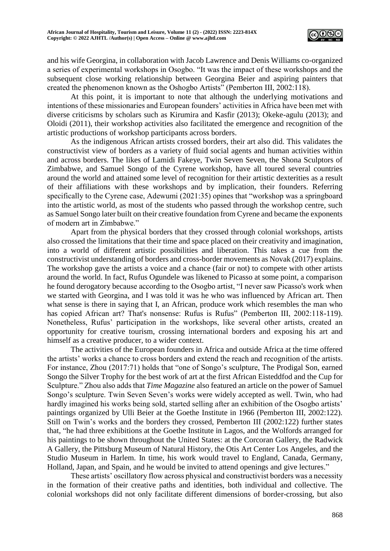

and his wife Georgina, in collaboration with Jacob Lawrence and Denis Williams co-organized a series of experimental workshops in Osogbo. "It was the impact of these workshops and the subsequent close working relationship between Georgina Beier and aspiring painters that created the phenomenon known as the Oshogbo Artists" (Pemberton III, 2002:118).

At this point, it is important to note that although the underlying motivations and intentions of these missionaries and European founders' activities in Africa have been met with diverse criticisms by scholars such as Kirumira and Kasfir (2013); Okeke-agulu (2013); and Oloidi (2011), their workshop activities also facilitated the emergence and recognition of the artistic productions of workshop participants across borders.

As the indigenous African artists crossed borders, their art also did. This validates the constructivist view of borders as a variety of fluid social agents and human activities within and across borders. The likes of Lamidi Fakeye, Twin Seven Seven, the Shona Sculptors of Zimbabwe, and Samuel Songo of the Cyrene workshop, have all toured several countries around the world and attained some level of recognition for their artistic dexterities as a result of their affiliations with these workshops and by implication, their founders. Referring specifically to the Cyrene case, Adewumi (2021:35) opines that "workshop was a springboard into the artistic world, as most of the students who passed through the workshop centre, such as Samuel Songo later built on their creative foundation from Cyrene and became the exponents of modern art in Zimbabwe."

Apart from the physical borders that they crossed through colonial workshops, artists also crossed the limitations that their time and space placed on their creativity and imagination, into a world of different artistic possibilities and liberation. This takes a cue from the constructivist understanding of borders and cross-border movements as Novak (2017) explains. The workshop gave the artists a voice and a chance (fair or not) to compete with other artists around the world. In fact, Rufus Ogundele was likened to Picasso at some point, a comparison he found derogatory because according to the Osogbo artist, "I never saw Picasso's work when we started with Georgina, and I was told it was he who was influenced by African art. Then what sense is there in saying that I, an African, produce work which resembles the man who has copied African art? That's nonsense: Rufus is Rufus" (Pemberton III, 2002:118-119). Nonetheless, Rufus' participation in the workshops, like several other artists, created an opportunity for creative tourism, crossing international borders and exposing his art and himself as a creative producer, to a wider context.

The activities of the European founders in Africa and outside Africa at the time offered the artists' works a chance to cross borders and extend the reach and recognition of the artists. For instance, Zhou (2017:71) holds that "one of Songo's sculpture, The Prodigal Son, earned Songo the Silver Trophy for the best work of art at the first African Eisteddfod and the Cup for Sculpture." Zhou also adds that *Time Magazine* also featured an article on the power of Samuel Songo's sculpture. Twin Seven Seven's works were widely accepted as well. Twin, who had hardly imagined his works being sold, started selling after an exhibition of the Osogbo artists' paintings organized by Ulli Beier at the Goethe Institute in 1966 (Pemberton III, 2002:122). Still on Twin's works and the borders they crossed, Pemberton III (2002:122) further states that, "he had three exhibitions at the Goethe Institute in Lagos, and the Wolfords arranged for his paintings to be shown throughout the United States: at the Corcoran Gallery, the Radwick A Gallery, the Pittsburg Museum of Natural History, the Otis Art Center Los Angeles, and the Studio Museum in Harlem. In time, his work would travel to England, Canada, Germany, Holland, Japan, and Spain, and he would be invited to attend openings and give lectures."

These artists' oscillatory flow across physical and constructivist borders was a necessity in the formation of their creative paths and identities, both individual and collective. The colonial workshops did not only facilitate different dimensions of border-crossing, but also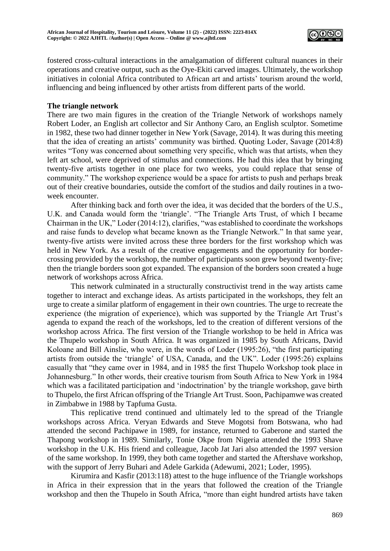

fostered cross-cultural interactions in the amalgamation of different cultural nuances in their operations and creative output, such as the Oye-Ekiti carved images. Ultimately, the workshop initiatives in colonial Africa contributed to African art and artists' tourism around the world, influencing and being influenced by other artists from different parts of the world.

## **The triangle network**

There are two main figures in the creation of the Triangle Network of workshops namely Robert Loder, an English art collector and Sir Anthony Caro, an English sculptor. Sometime in 1982, these two had dinner together in New York (Savage, 2014). It was during this meeting that the idea of creating an artists' community was birthed. Quoting Loder, Savage (2014:8) writes "Tony was concerned about something very specific, which was that artists, when they left art school, were deprived of stimulus and connections. He had this idea that by bringing twenty-five artists together in one place for two weeks, you could replace that sense of community." The workshop experience would be a space for artists to push and perhaps break out of their creative boundaries, outside the comfort of the studios and daily routines in a twoweek encounter.

After thinking back and forth over the idea, it was decided that the borders of the U.S., U.K. and Canada would form the 'triangle'. "The Triangle Arts Trust, of which I became Chairman in the UK," Loder (2014:12), clarifies, "was established to coordinate the workshops and raise funds to develop what became known as the Triangle Network." In that same year, twenty-five artists were invited across these three borders for the first workshop which was held in New York. As a result of the creative engagements and the opportunity for bordercrossing provided by the workshop, the number of participants soon grew beyond twenty-five; then the triangle borders soon got expanded. The expansion of the borders soon created a huge network of workshops across Africa.

This network culminated in a structurally constructivist trend in the way artists came together to interact and exchange ideas. As artists participated in the workshops, they felt an urge to create a similar platform of engagement in their own countries. The urge to recreate the experience (the migration of experience), which was supported by the Triangle Art Trust's agenda to expand the reach of the workshops, led to the creation of different versions of the workshop across Africa. The first version of the Triangle workshop to be held in Africa was the Thupelo workshop in South Africa. It was organized in 1985 by South Africans, David Koloane and Bill Ainslie, who were, in the words of Loder (1995:26), "the first participating artists from outside the 'triangle' of USA, Canada, and the UK". Loder (1995:26) explains casually that "they came over in 1984, and in 1985 the first Thupelo Workshop took place in Johannesburg." In other words, their creative tourism from South Africa to New York in 1984 which was a facilitated participation and 'indoctrination' by the triangle workshop, gave birth to Thupelo, the first African offspring of the Triangle Art Trust. Soon, Pachipamwe was created in Zimbabwe in 1988 by Tapfuma Gusta.

This replicative trend continued and ultimately led to the spread of the Triangle workshops across Africa. Veryan Edwards and Steve Mogotsi from Botswana, who had attended the second Pachipawe in 1989, for instance, returned to Gaberone and started the Thapong workshop in 1989. Similarly, Tonie Okpe from Nigeria attended the 1993 Shave workshop in the U.K. His friend and colleague, Jacob Jat Jari also attended the 1997 version of the same workshop. In 1999, they both came together and started the Aftershave workshop, with the support of Jerry Buhari and Adele Garkida (Adewumi, 2021; Loder, 1995).

Kirumira and Kasfir (2013:118) attest to the huge influence of the Triangle workshops in Africa in their expression that in the years that followed the creation of the Triangle workshop and then the Thupelo in South Africa, "more than eight hundred artists have taken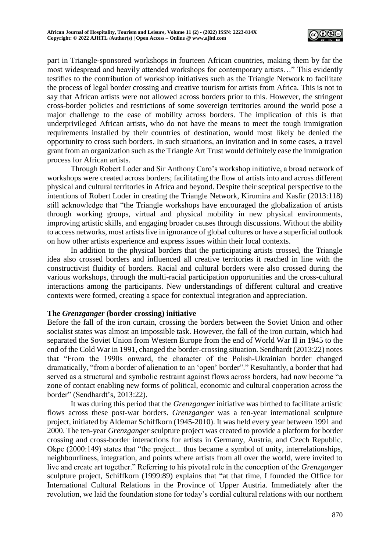

part in Triangle-sponsored workshops in fourteen African countries, making them by far the most widespread and heavily attended workshops for contemporary artists…" This evidently testifies to the contribution of workshop initiatives such as the Triangle Network to facilitate the process of legal border crossing and creative tourism for artists from Africa. This is not to say that African artists were not allowed across borders prior to this. However, the stringent cross-border policies and restrictions of some sovereign territories around the world pose a major challenge to the ease of mobility across borders. The implication of this is that underprivileged African artists, who do not have the means to meet the tough immigration requirements installed by their countries of destination, would most likely be denied the opportunity to cross such borders. In such situations, an invitation and in some cases, a travel grant from an organization such as the Triangle Art Trust would definitely ease the immigration process for African artists.

Through Robert Loder and Sir Anthony Caro's workshop initiative, a broad network of workshops were created across borders; facilitating the flow of artists into and across different physical and cultural territories in Africa and beyond. Despite their sceptical perspective to the intentions of Robert Loder in creating the Triangle Network, Kirumira and Kasfir (2013:118) still acknowledge that "the Triangle workshops have encouraged the globalization of artists through working groups, virtual and physical mobility in new physical environments, improving artistic skills, and engaging broader causes through discussions. Without the ability to access networks, most artists live in ignorance of global cultures or have a superficial outlook on how other artists experience and express issues within their local contexts.

In addition to the physical borders that the participating artists crossed, the Triangle idea also crossed borders and influenced all creative territories it reached in line with the constructivist fluidity of borders. Racial and cultural borders were also crossed during the various workshops, through the multi-racial participation opportunities and the cross-cultural interactions among the participants. New understandings of different cultural and creative contexts were formed, creating a space for contextual integration and appreciation.

## **The** *Grenzganger* **(border crossing) initiative**

Before the fall of the iron curtain, crossing the borders between the Soviet Union and other socialist states was almost an impossible task. However, the fall of the iron curtain, which had separated the Soviet Union from Western Europe from the end of World War II in 1945 to the end of the Cold War in 1991, changed the border-crossing situation. Sendhardt (2013:22) notes that "From the 1990s onward, the character of the Polish-Ukrainian border changed dramatically, "from a border of alienation to an 'open' border"." Resultantly, a border that had served as a structural and symbolic restraint against flows across borders, had now become "a zone of contact enabling new forms of political, economic and cultural cooperation across the border" (Sendhardt's, 2013:22).

It was during this period that the *Grenzganger* initiative was birthed to facilitate artistic flows across these post-war borders. *Grenzganger* was a ten-year international sculpture project, initiated by Aldemar Schiffkorn (1945-2010). It was held every year between 1991 and 2000. The ten-year *Grenzganger* sculpture project was created to provide a platform for border crossing and cross-border interactions for artists in Germany, Austria, and Czech Republic. Okpe (2000:149) states that "the project... thus became a symbol of unity, interrelationships, neighbourliness, integration, and points where artists from all over the world, were invited to live and create art together." Referring to his pivotal role in the conception of the *Grenzganger* sculpture project, Schiffkorn (1999:89) explains that "at that time, I founded the Office for International Cultural Relations in the Province of Upper Austria. Immediately after the revolution, we laid the foundation stone for today's cordial cultural relations with our northern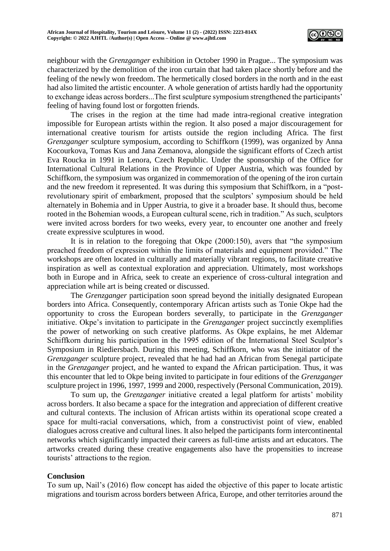

neighbour with the *Grenzganger* exhibition in October 1990 in Prague... The symposium was characterized by the demolition of the iron curtain that had taken place shortly before and the feeling of the newly won freedom. The hermetically closed borders in the north and in the east had also limited the artistic encounter. A whole generation of artists hardly had the opportunity to exchange ideas across borders...The first sculpture symposium strengthened the participants' feeling of having found lost or forgotten friends.

The crises in the region at the time had made intra-regional creative integration impossible for European artists within the region. It also posed a major discouragement for international creative tourism for artists outside the region including Africa. The first *Grenzganger* sculpture symposium, according to Schiffkorn (1999), was organized by Anna Kocourkova, Tomas Kus and Jana Zemanova, alongside the significant efforts of Czech artist Eva Roucka in 1991 in Lenora, Czech Republic. Under the sponsorship of the Office for International Cultural Relations in the Province of Upper Austria, which was founded by Schiffkorn, the symposium was organized in commemoration of the opening of the iron curtain and the new freedom it represented. It was during this symposium that Schiffkorn, in a "postrevolutionary spirit of embarkment, proposed that the sculptors' symposium should be held alternately in Bohemia and in Upper Austria, to give it a broader base. It should thus, become rooted in the Bohemian woods, a European cultural scene, rich in tradition." As such, sculptors were invited across borders for two weeks, every year, to encounter one another and freely create expressive sculptures in wood.

It is in relation to the foregoing that Okpe (2000:150), avers that "the symposium preached freedom of expression within the limits of materials and equipment provided." The workshops are often located in culturally and materially vibrant regions, to facilitate creative inspiration as well as contextual exploration and appreciation. Ultimately, most workshops both in Europe and in Africa, seek to create an experience of cross-cultural integration and appreciation while art is being created or discussed.

The *Grenzganger* participation soon spread beyond the initially designated European borders into Africa. Consequently, contemporary African artists such as Tonie Okpe had the opportunity to cross the European borders severally, to participate in the *Grenzganger* initiative. Okpe's invitation to participate in the *Grenzganger* project succinctly exemplifies the power of networking on such creative platforms. As Okpe explains, he met Aldemar Schiffkorn during his participation in the 1995 edition of the International Steel Sculptor's Symposium in Riediersbach. During this meeting, Schiffkorn, who was the initiator of the *Grenzganger* sculpture project, revealed that he had had an African from Senegal participate in the *Grenzganger* project, and he wanted to expand the African participation. Thus, it was this encounter that led to Okpe being invited to participate in four editions of the *Grenzganger* sculpture project in 1996, 1997, 1999 and 2000, respectively (Personal Communication, 2019).

To sum up, the *Grenzganger* initiative created a legal platform for artists' mobility across borders. It also became a space for the integration and appreciation of different creative and cultural contexts. The inclusion of African artists within its operational scope created a space for multi-racial conversations, which, from a constructivist point of view, enabled dialogues across creative and cultural lines. It also helped the participants form intercontinental networks which significantly impacted their careers as full-time artists and art educators. The artworks created during these creative engagements also have the propensities to increase tourists' attractions to the region.

## **Conclusion**

To sum up, Nail's (2016) flow concept has aided the objective of this paper to locate artistic migrations and tourism across borders between Africa, Europe, and other territories around the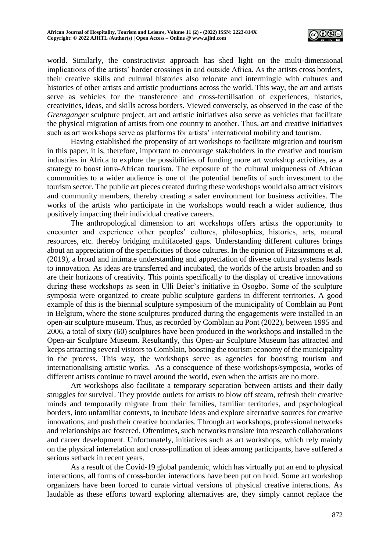

world. Similarly, the constructivist approach has shed light on the multi-dimensional implications of the artists' border crossings in and outside Africa. As the artists cross borders, their creative skills and cultural histories also relocate and intermingle with cultures and histories of other artists and artistic productions across the world. This way, the art and artists serve as vehicles for the transference and cross-fertilisation of experiences, histories, creativities, ideas, and skills across borders. Viewed conversely, as observed in the case of the *Grenzganger* sculpture project, art and artistic initiatives also serve as vehicles that facilitate the physical migration of artists from one country to another. Thus, art and creative initiatives such as art workshops serve as platforms for artists' international mobility and tourism.

Having established the propensity of art workshops to facilitate migration and tourism in this paper, it is, therefore, important to encourage stakeholders in the creative and tourism industries in Africa to explore the possibilities of funding more art workshop activities, as a strategy to boost intra-African tourism. The exposure of the cultural uniqueness of African communities to a wider audience is one of the potential benefits of such investment to the tourism sector. The public art pieces created during these workshops would also attract visitors and community members, thereby creating a safer environment for business activities. The works of the artists who participate in the workshops would reach a wider audience, thus positively impacting their individual creative careers.

The anthropological dimension to art workshops offers artists the opportunity to encounter and experience other peoples' cultures, philosophies, histories, arts, natural resources, etc. thereby bridging multifaceted gaps. Understanding different cultures brings about an appreciation of the specificities of those cultures. In the opinion of Fitzsimmons et al. (2019), a broad and intimate understanding and appreciation of diverse cultural systems leads to innovation. As ideas are transferred and incubated, the worlds of the artists broaden and so are their horizons of creativity. This points specifically to the display of creative innovations during these workshops as seen in Ulli Beier's initiative in Osogbo. Some of the sculpture symposia were organized to create public sculpture gardens in different territories. A good example of this is the biennial sculpture symposium of the municipality of Comblain au Pont in Belgium, where the stone sculptures produced during the engagements were installed in an open-air sculpture museum. Thus, as recorded by Comblain au Pont (2022), between 1995 and 2006, a total of sixty (60) sculptures have been produced in the workshops and installed in the Open-air Sculpture Museum. Resultantly, this Open-air Sculpture Museum has attracted and keeps attracting several visitors to Comblain, boosting the tourism economy of the municipality in the process. This way, the workshops serve as agencies for boosting tourism and internationalising artistic works. As a consequence of these workshops/symposia, works of different artists continue to travel around the world, even when the artists are no more.

Art workshops also facilitate a temporary separation between artists and their daily struggles for survival. They provide outlets for artists to blow off steam, refresh their creative minds and temporarily migrate from their families, familiar territories, and psychological borders, into unfamiliar contexts, to incubate ideas and explore alternative sources for creative innovations, and push their creative boundaries. Through art workshops, professional networks and relationships are fostered. Oftentimes, such networks translate into research collaborations and career development. Unfortunately, initiatives such as art workshops, which rely mainly on the physical interrelation and cross-pollination of ideas among participants, have suffered a serious setback in recent years.

As a result of the Covid-19 global pandemic, which has virtually put an end to physical interactions, all forms of cross-border interactions have been put on hold. Some art workshop organizers have been forced to curate virtual versions of physical creative interactions. As laudable as these efforts toward exploring alternatives are, they simply cannot replace the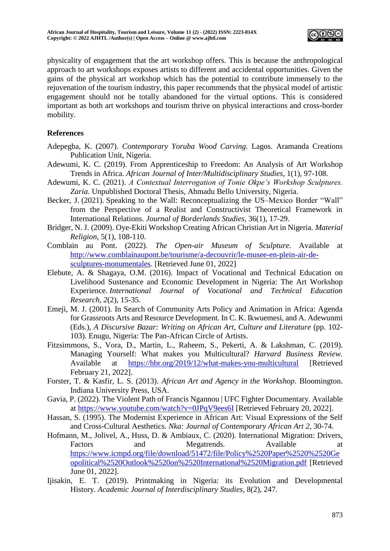

physicality of engagement that the art workshop offers. This is because the anthropological approach to art workshops exposes artists to different and accidental opportunities. Given the gains of the physical art workshop which has the potential to contribute immensely to the rejuvenation of the tourism industry, this paper recommends that the physical model of artistic engagement should not be totally abandoned for the virtual options. This is considered important as both art workshops and tourism thrive on physical interactions and cross-border mobility.

## **References**

- Adepegba, K. (2007). *Contemporary Yoruba Wood Carving.* Lagos. Aramanda Creations Publication Unit, Nigeria.
- Adewumi, K. C. (2019). From Apprenticeship to Freedom: An Analysis of Art Workshop Trends in Africa. *African Journal of Inter/Multidisciplinary Studies*, 1(1), 97-108.
- Adewumi, K. C. (2021). *A Contextual Interrogation of Tonie Okpe's Workshop Sculptures. Zaria.* Unpublished Doctoral Thesis, Ahmadu Bello University, Nigeria.
- Becker, J. (2021). Speaking to the Wall: Reconceptualizing the US–Mexico Border "Wall" from the Perspective of a Realist and Constructivist Theoretical Framework in International Relations. *Journal of Borderlands Studies,* 36(1), 17-29.
- Bridger, N. J. (2009). Oye-Ekiti Workshop Creating African Christian Art in Nigeria. *Material Religion*, 5(1), 108-110.
- Comblain au Pont. (2022). *The Open-air Museum of Sculpture*. Available at [http://www.comblainaupont.be/tourisme/a-decouvrir/le-musee-en-plein-air-de](http://www.comblainaupont.be/tourisme/a-decouvrir/le-musee-en-plein-air-de-sculptures-monumentales)[sculptures-monumentales.](http://www.comblainaupont.be/tourisme/a-decouvrir/le-musee-en-plein-air-de-sculptures-monumentales) [Retrieved June 01, 2022]
- Elebute, A. & Shagaya, O.M. (2016). Impact of Vocational and Technical Education on Livelihood Sustenance and Economic Development in Nigeria: The Art Workshop Experience. *International Journal of Vocational and Technical Education Research*, *2*(2), 15-35.
- Emeji, M. J. (2001). In Search of Community Arts Policy and Animation in Africa: Agenda for Grassroots Arts and Resource Development*.* In C. K. Ikwuemesi, and A. Adewunmi (Eds.), *A Discursive Bazar: Writing on African Art, Culture and Literature* (pp. 102- 103)*.* Enugu, Nigeria: The Pan-African Circle of Artists.
- Fitzsimmons, S., Vora, D., Martin, L., Raheem, S., Pekerti, A. & Lakshman, C. (2019). Managing Yourself: What makes you Multicultural? *Harvard Business Review.*  Available at <https://hbr.org/2019/12/what-makes-you-multicultural> [Retrieved] February 21, 2022].
- Forster, T. & Kasfir, L. S. (2013). *African Art and Agency in the Workshop*. Bloomington. Indiana University Press, USA.
- Gavia, P. (2022). The Violent Path of Francis Ngannou | UFC Fighter Documentary*.* Available at<https://www.youtube.com/watch?v=0JPqV9ees6I> [Retrieved February 20, 2022].
- Hassan, S. (1995). The Modernist Experience in African Art: Visual Expressions of the Self and Cross-Cultural Aesthetics. *Nka: Journal of Contemporary African Art 2*, 30-74.
- Hofmann, M., Jolivel, A., Huss, D. & Ambiaux, C. (2020). International Migration: Drivers, Factors and Megatrends. Available at [https://www.icmpd.org/file/download/51472/file/Policy%2520Paper%2520%2520Ge](https://www.icmpd.org/file/download/51472/file/Policy%2520Paper%2520%2520Geopolitical%2520Outlook%2520on%2520International%2520Migration.pdf) [opolitical%2520Outlook%2520on%2520International%2520Migration.pdf](https://www.icmpd.org/file/download/51472/file/Policy%2520Paper%2520%2520Geopolitical%2520Outlook%2520on%2520International%2520Migration.pdf) [Retrieved June 01, 2022].
- Ijisakin, E. T. (2019). Printmaking in Nigeria: its Evolution and Developmental History. *Academic Journal of Interdisciplinary Studies*, 8(2), 247.